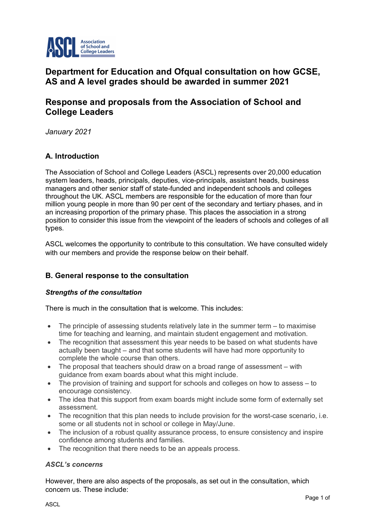

# **Department for Education and Ofqual consultation on how GCSE, AS and A level grades should be awarded in summer 2021**

# **Response and proposals from the Association of School and College Leaders**

*January 2021*

# **A. Introduction**

The Association of School and College Leaders (ASCL) represents over 20,000 education system leaders, heads, principals, deputies, vice-principals, assistant heads, business managers and other senior staff of state-funded and independent schools and colleges throughout the UK. ASCL members are responsible for the education of more than four million young people in more than 90 per cent of the secondary and tertiary phases, and in an increasing proportion of the primary phase. This places the association in a strong position to consider this issue from the viewpoint of the leaders of schools and colleges of all types.

ASCL welcomes the opportunity to contribute to this consultation. We have consulted widely with our members and provide the response below on their behalf.

# **B. General response to the consultation**

# *Strengths of the consultation*

There is much in the consultation that is welcome. This includes:

- The principle of assessing students relatively late in the summer term to maximise time for teaching and learning, and maintain student engagement and motivation.
- The recognition that assessment this year needs to be based on what students have actually been taught – and that some students will have had more opportunity to complete the whole course than others.
- The proposal that teachers should draw on a broad range of assessment with guidance from exam boards about what this might include.
- The provision of training and support for schools and colleges on how to assess to encourage consistency.
- The idea that this support from exam boards might include some form of externally set assessment.
- The recognition that this plan needs to include provision for the worst-case scenario, i.e. some or all students not in school or college in May/June.
- The inclusion of a robust quality assurance process, to ensure consistency and inspire confidence among students and families.
- The recognition that there needs to be an appeals process.

# *ASCL's concerns*

However, there are also aspects of the proposals, as set out in the consultation, which concern us. These include: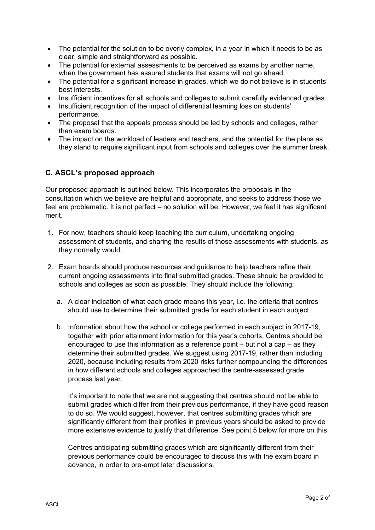- The potential for the solution to be overly complex, in a year in which it needs to be as clear, simple and straightforward as possible.
- The potential for external assessments to be perceived as exams by another name, when the government has assured students that exams will not go ahead.
- The potential for a significant increase in grades, which we do not believe is in students' best interests.
- Insufficient incentives for all schools and colleges to submit carefully evidenced grades.
- Insufficient recognition of the impact of differential learning loss on students' performance.
- The proposal that the appeals process should be led by schools and colleges, rather than exam boards.
- The impact on the workload of leaders and teachers, and the potential for the plans as they stand to require significant input from schools and colleges over the summer break.

# **C. ASCL's proposed approach**

Our proposed approach is outlined below. This incorporates the proposals in the consultation which we believe are helpful and appropriate, and seeks to address those we feel are problematic. It is not perfect – no solution will be. However, we feel it has significant merit.

- 1. For now, teachers should keep teaching the curriculum, undertaking ongoing assessment of students, and sharing the results of those assessments with students, as they normally would.
- 2. Exam boards should produce resources and guidance to help teachers refine their current ongoing assessments into final submitted grades. These should be provided to schools and colleges as soon as possible. They should include the following:
	- a. A clear indication of what each grade means this year, i.e. the criteria that centres should use to determine their submitted grade for each student in each subject.
	- b. Information about how the school or college performed in each subject in 2017-19, together with prior attainment information for this year's cohorts. Centres should be encouraged to use this information as a reference point – but not a cap – as they determine their submitted grades. We suggest using 2017-19, rather than including 2020, because including results from 2020 risks further compounding the differences in how different schools and colleges approached the centre-assessed grade process last year.

It's important to note that we are not suggesting that centres should not be able to submit grades which differ from their previous performance, if they have good reason to do so. We would suggest, however, that centres submitting grades which are significantly different from their profiles in previous years should be asked to provide more extensive evidence to justify that difference. See point 5 below for more on this.

Centres anticipating submitting grades which are significantly different from their previous performance could be encouraged to discuss this with the exam board in advance, in order to pre-empt later discussions.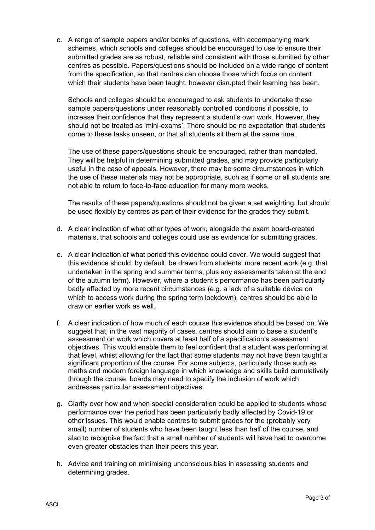c. A range of sample papers and/or banks of questions, with accompanying mark schemes, which schools and colleges should be encouraged to use to ensure their submitted grades are as robust, reliable and consistent with those submitted by other centres as possible. Papers/questions should be included on a wide range of content from the specification, so that centres can choose those which focus on content which their students have been taught, however disrupted their learning has been.

Schools and colleges should be encouraged to ask students to undertake these sample papers/questions under reasonably controlled conditions if possible, to increase their confidence that they represent a student's own work. However, they should not be treated as 'mini-exams'. There should be no expectation that students come to these tasks unseen, or that all students sit them at the same time.

The use of these papers/questions should be encouraged, rather than mandated. They will be helpful in determining submitted grades, and may provide particularly useful in the case of appeals. However, there may be some circumstances in which the use of these materials may not be appropriate, such as if some or all students are not able to return to face-to-face education for many more weeks.

The results of these papers/questions should not be given a set weighting, but should be used flexibly by centres as part of their evidence for the grades they submit.

- d. A clear indication of what other types of work, alongside the exam board-created materials, that schools and colleges could use as evidence for submitting grades.
- e. A clear indication of what period this evidence could cover. We would suggest that this evidence should, by default, be drawn from students' more recent work (e.g. that undertaken in the spring and summer terms, plus any assessments taken at the end of the autumn term). However, where a student's performance has been particularly badly affected by more recent circumstances (e.g. a lack of a suitable device on which to access work during the spring term lockdown), centres should be able to draw on earlier work as well.
- f. A clear indication of how much of each course this evidence should be based on. We suggest that, in the vast majority of cases, centres should aim to base a student's assessment on work which covers at least half of a specification's assessment objectives. This would enable them to feel confident that a student was performing at that level, whilst allowing for the fact that some students may not have been taught a significant proportion of the course. For some subjects, particularly those such as maths and modern foreign language in which knowledge and skills build cumulatively through the course, boards may need to specify the inclusion of work which addresses particular assessment objectives.
- g. Clarity over how and when special consideration could be applied to students whose performance over the period has been particularly badly affected by Covid-19 or other issues. This would enable centres to submit grades for the (probably very small) number of students who have been taught less than half of the course, and also to recognise the fact that a small number of students will have had to overcome even greater obstacles than their peers this year.
- h. Advice and training on minimising unconscious bias in assessing students and determining grades.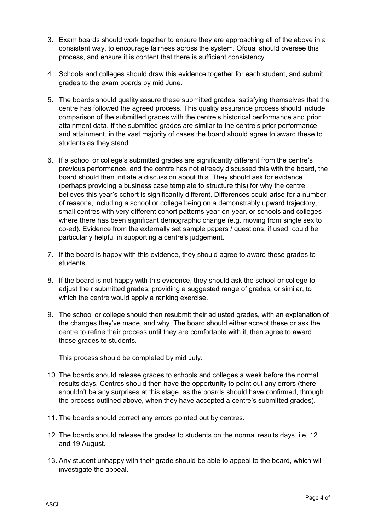- 3. Exam boards should work together to ensure they are approaching all of the above in a consistent way, to encourage fairness across the system. Ofqual should oversee this process, and ensure it is content that there is sufficient consistency.
- 4. Schools and colleges should draw this evidence together for each student, and submit grades to the exam boards by mid June.
- 5. The boards should quality assure these submitted grades, satisfying themselves that the centre has followed the agreed process. This quality assurance process should include comparison of the submitted grades with the centre's historical performance and prior attainment data. If the submitted grades are similar to the centre's prior performance and attainment, in the vast majority of cases the board should agree to award these to students as they stand.
- 6. If a school or college's submitted grades are significantly different from the centre's previous performance, and the centre has not already discussed this with the board, the board should then initiate a discussion about this. They should ask for evidence (perhaps providing a business case template to structure this) for why the centre believes this year's cohort is significantly different. Differences could arise for a number of reasons, including a school or college being on a demonstrably upward trajectory, small centres with very different cohort patterns year-on-year, or schools and colleges where there has been significant demographic change (e.g. moving from single sex to co-ed). Evidence from the externally set sample papers / questions, if used, could be particularly helpful in supporting a centre's judgement.
- 7. If the board is happy with this evidence, they should agree to award these grades to students.
- 8. If the board is not happy with this evidence, they should ask the school or college to adjust their submitted grades, providing a suggested range of grades, or similar, to which the centre would apply a ranking exercise.
- 9. The school or college should then resubmit their adjusted grades, with an explanation of the changes they've made, and why. The board should either accept these or ask the centre to refine their process until they are comfortable with it, then agree to award those grades to students.

This process should be completed by mid July.

- 10. The boards should release grades to schools and colleges a week before the normal results days. Centres should then have the opportunity to point out any errors (there shouldn't be any surprises at this stage, as the boards should have confirmed, through the process outlined above, when they have accepted a centre's submitted grades).
- 11. The boards should correct any errors pointed out by centres.
- 12. The boards should release the grades to students on the normal results days, i.e. 12 and 19 August.
- 13. Any student unhappy with their grade should be able to appeal to the board, which will investigate the appeal.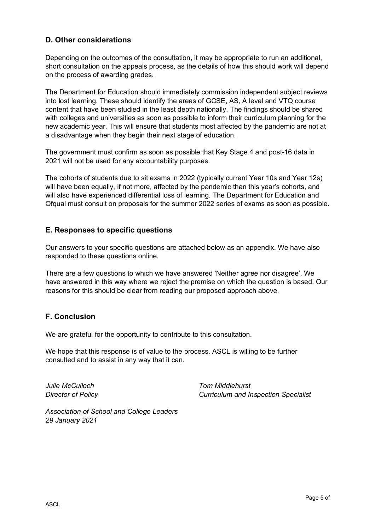# **D. Other considerations**

Depending on the outcomes of the consultation, it may be appropriate to run an additional, short consultation on the appeals process, as the details of how this should work will depend on the process of awarding grades.

The Department for Education should immediately commission independent subject reviews into lost learning. These should identify the areas of GCSE, AS, A level and VTQ course content that have been studied in the least depth nationally. The findings should be shared with colleges and universities as soon as possible to inform their curriculum planning for the new academic year. This will ensure that students most affected by the pandemic are not at a disadvantage when they begin their next stage of education.

The government must confirm as soon as possible that Key Stage 4 and post-16 data in 2021 will not be used for any accountability purposes.

The cohorts of students due to sit exams in 2022 (typically current Year 10s and Year 12s) will have been equally, if not more, affected by the pandemic than this year's cohorts, and will also have experienced differential loss of learning. The Department for Education and Ofqual must consult on proposals for the summer 2022 series of exams as soon as possible.

# **E. Responses to specific questions**

Our answers to your specific questions are attached below as an appendix. We have also responded to these questions online.

There are a few questions to which we have answered 'Neither agree nor disagree'. We have answered in this way where we reject the premise on which the question is based. Our reasons for this should be clear from reading our proposed approach above.

# **F. Conclusion**

We are grateful for the opportunity to contribute to this consultation.

We hope that this response is of value to the process. ASCL is willing to be further consulted and to assist in any way that it can.

*Julie McCulloch Director of Policy* *Tom Middlehurst Curriculum and Inspection Specialist*

*Association of School and College Leaders 29 January 2021*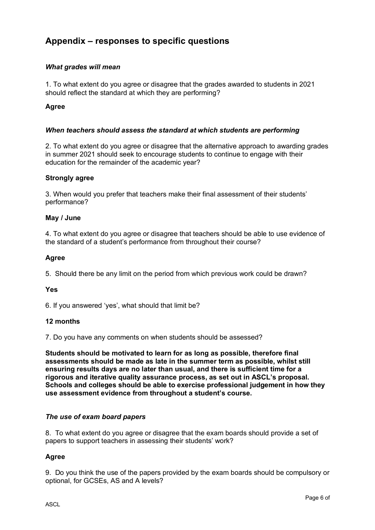# **Appendix – responses to specific questions**

# *What grades will mean*

1. To what extent do you agree or disagree that the grades awarded to students in 2021 should reflect the standard at which they are performing?

# **Agree**

## *When teachers should assess the standard at which students are performing*

2. To what extent do you agree or disagree that the alternative approach to awarding grades in summer 2021 should seek to encourage students to continue to engage with their education for the remainder of the academic year?

## **Strongly agree**

3. When would you prefer that teachers make their final assessment of their students' performance?

## **May / June**

4. To what extent do you agree or disagree that teachers should be able to use evidence of the standard of a student's performance from throughout their course?

## **Agree**

5. Should there be any limit on the period from which previous work could be drawn?

#### **Yes**

6. If you answered 'yes', what should that limit be?

# **12 months**

7. Do you have any comments on when students should be assessed?

**Students should be motivated to learn for as long as possible, therefore final assessments should be made as late in the summer term as possible, whilst still ensuring results days are no later than usual, and there is sufficient time for a rigorous and iterative quality assurance process, as set out in ASCL's proposal. Schools and colleges should be able to exercise professional judgement in how they use assessment evidence from throughout a student's course.**

#### *The use of exam board papers*

8. To what extent do you agree or disagree that the exam boards should provide a set of papers to support teachers in assessing their students' work?

# **Agree**

9. Do you think the use of the papers provided by the exam boards should be compulsory or optional, for GCSEs, AS and A levels?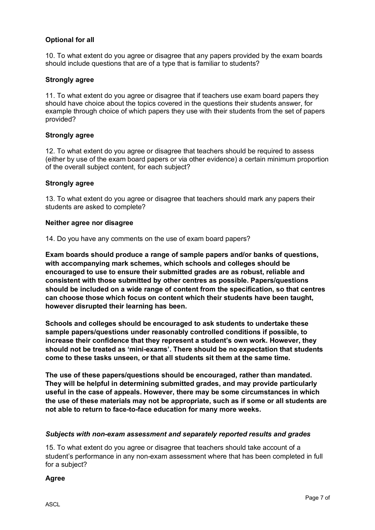# **Optional for all**

10. To what extent do you agree or disagree that any papers provided by the exam boards should include questions that are of a type that is familiar to students?

# **Strongly agree**

11. To what extent do you agree or disagree that if teachers use exam board papers they should have choice about the topics covered in the questions their students answer, for example through choice of which papers they use with their students from the set of papers provided?

#### **Strongly agree**

12. To what extent do you agree or disagree that teachers should be required to assess (either by use of the exam board papers or via other evidence) a certain minimum proportion of the overall subject content, for each subject?

## **Strongly agree**

13. To what extent do you agree or disagree that teachers should mark any papers their students are asked to complete?

#### **Neither agree nor disagree**

14. Do you have any comments on the use of exam board papers?

**Exam boards should produce a range of sample papers and/or banks of questions, with accompanying mark schemes, which schools and colleges should be encouraged to use to ensure their submitted grades are as robust, reliable and consistent with those submitted by other centres as possible. Papers/questions should be included on a wide range of content from the specification, so that centres can choose those which focus on content which their students have been taught, however disrupted their learning has been.** 

**Schools and colleges should be encouraged to ask students to undertake these sample papers/questions under reasonably controlled conditions if possible, to increase their confidence that they represent a student's own work. However, they should not be treated as 'mini-exams'. There should be no expectation that students come to these tasks unseen, or that all students sit them at the same time.** 

**The use of these papers/questions should be encouraged, rather than mandated. They will be helpful in determining submitted grades, and may provide particularly useful in the case of appeals. However, there may be some circumstances in which the use of these materials may not be appropriate, such as if some or all students are not able to return to face-to-face education for many more weeks.** 

#### *Subjects with non-exam assessment and separately reported results and grades*

15. To what extent do you agree or disagree that teachers should take account of a student's performance in any non-exam assessment where that has been completed in full for a subject?

#### **Agree**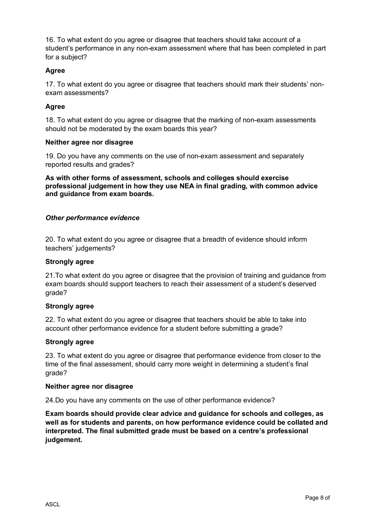16. To what extent do you agree or disagree that teachers should take account of a student's performance in any non-exam assessment where that has been completed in part for a subject?

# **Agree**

17. To what extent do you agree or disagree that teachers should mark their students' nonexam assessments?

# **Agree**

18. To what extent do you agree or disagree that the marking of non-exam assessments should not be moderated by the exam boards this year?

## **Neither agree nor disagree**

19. Do you have any comments on the use of non-exam assessment and separately reported results and grades?

**As with other forms of assessment, schools and colleges should exercise professional judgement in how they use NEA in final grading, with common advice and guidance from exam boards.**

## *Other performance evidence*

20. To what extent do you agree or disagree that a breadth of evidence should inform teachers' judgements?

#### **Strongly agree**

21.To what extent do you agree or disagree that the provision of training and guidance from exam boards should support teachers to reach their assessment of a student's deserved grade?

#### **Strongly agree**

22. To what extent do you agree or disagree that teachers should be able to take into account other performance evidence for a student before submitting a grade?

#### **Strongly agree**

23. To what extent do you agree or disagree that performance evidence from closer to the time of the final assessment, should carry more weight in determining a student's final grade?

#### **Neither agree nor disagree**

24.Do you have any comments on the use of other performance evidence?

**Exam boards should provide clear advice and guidance for schools and colleges, as well as for students and parents, on how performance evidence could be collated and interpreted. The final submitted grade must be based on a centre's professional judgement.**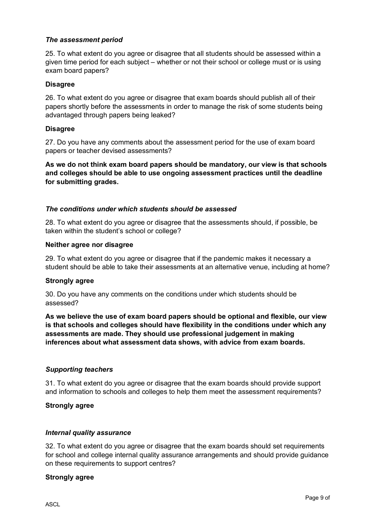# *The assessment period*

25. To what extent do you agree or disagree that all students should be assessed within a given time period for each subject – whether or not their school or college must or is using exam board papers?

#### **Disagree**

26. To what extent do you agree or disagree that exam boards should publish all of their papers shortly before the assessments in order to manage the risk of some students being advantaged through papers being leaked?

#### **Disagree**

27. Do you have any comments about the assessment period for the use of exam board papers or teacher devised assessments?

**As we do not think exam board papers should be mandatory, our view is that schools and colleges should be able to use ongoing assessment practices until the deadline for submitting grades.**

# *The conditions under which students should be assessed*

28. To what extent do you agree or disagree that the assessments should, if possible, be taken within the student's school or college?

#### **Neither agree nor disagree**

29. To what extent do you agree or disagree that if the pandemic makes it necessary a student should be able to take their assessments at an alternative venue, including at home?

#### **Strongly agree**

30. Do you have any comments on the conditions under which students should be assessed?

**As we believe the use of exam board papers should be optional and flexible, our view is that schools and colleges should have flexibility in the conditions under which any assessments are made. They should use professional judgement in making inferences about what assessment data shows, with advice from exam boards.**

#### *Supporting teachers*

31. To what extent do you agree or disagree that the exam boards should provide support and information to schools and colleges to help them meet the assessment requirements?

#### **Strongly agree**

#### *Internal quality assurance*

32. To what extent do you agree or disagree that the exam boards should set requirements for school and college internal quality assurance arrangements and should provide guidance on these requirements to support centres?

#### **Strongly agree**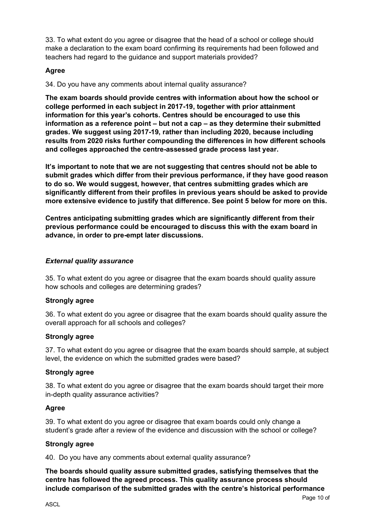33. To what extent do you agree or disagree that the head of a school or college should make a declaration to the exam board confirming its requirements had been followed and teachers had regard to the guidance and support materials provided?

# **Agree**

34. Do you have any comments about internal quality assurance?

**The exam boards should provide centres with information about how the school or college performed in each subject in 2017-19, together with prior attainment information for this year's cohorts. Centres should be encouraged to use this information as a reference point – but not a cap – as they determine their submitted grades. We suggest using 2017-19, rather than including 2020, because including results from 2020 risks further compounding the differences in how different schools and colleges approached the centre-assessed grade process last year.** 

**It's important to note that we are not suggesting that centres should not be able to submit grades which differ from their previous performance, if they have good reason to do so. We would suggest, however, that centres submitting grades which are significantly different from their profiles in previous years should be asked to provide more extensive evidence to justify that difference. See point 5 below for more on this.** 

**Centres anticipating submitting grades which are significantly different from their previous performance could be encouraged to discuss this with the exam board in advance, in order to pre-empt later discussions.** 

# *External quality assurance*

35. To what extent do you agree or disagree that the exam boards should quality assure how schools and colleges are determining grades?

# **Strongly agree**

36. To what extent do you agree or disagree that the exam boards should quality assure the overall approach for all schools and colleges?

#### **Strongly agree**

37. To what extent do you agree or disagree that the exam boards should sample, at subject level, the evidence on which the submitted grades were based?

#### **Strongly agree**

38. To what extent do you agree or disagree that the exam boards should target their more in-depth quality assurance activities?

#### **Agree**

39. To what extent do you agree or disagree that exam boards could only change a student's grade after a review of the evidence and discussion with the school or college?

#### **Strongly agree**

40. Do you have any comments about external quality assurance?

**The boards should quality assure submitted grades, satisfying themselves that the centre has followed the agreed process. This quality assurance process should include comparison of the submitted grades with the centre's historical performance**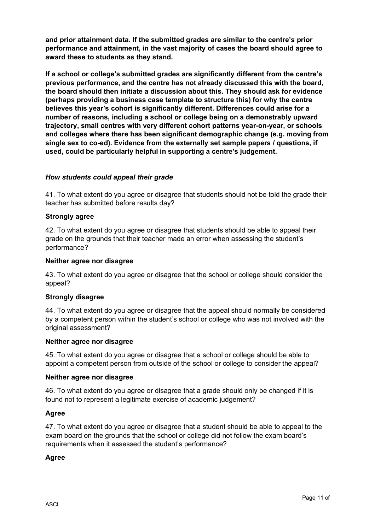**and prior attainment data. If the submitted grades are similar to the centre's prior performance and attainment, in the vast majority of cases the board should agree to award these to students as they stand.** 

**If a school or college's submitted grades are significantly different from the centre's previous performance, and the centre has not already discussed this with the board, the board should then initiate a discussion about this. They should ask for evidence (perhaps providing a business case template to structure this) for why the centre believes this year's cohort is significantly different. Differences could arise for a number of reasons, including a school or college being on a demonstrably upward trajectory, small centres with very different cohort patterns year-on-year, or schools and colleges where there has been significant demographic change (e.g. moving from single sex to co-ed). Evidence from the externally set sample papers / questions, if used, could be particularly helpful in supporting a centre's judgement.**

# *How students could appeal their grade*

41. To what extent do you agree or disagree that students should not be told the grade their teacher has submitted before results day?

#### **Strongly agree**

42. To what extent do you agree or disagree that students should be able to appeal their grade on the grounds that their teacher made an error when assessing the student's performance?

#### **Neither agree nor disagree**

43. To what extent do you agree or disagree that the school or college should consider the appeal?

#### **Strongly disagree**

44. To what extent do you agree or disagree that the appeal should normally be considered by a competent person within the student's school or college who was not involved with the original assessment?

#### **Neither agree nor disagree**

45. To what extent do you agree or disagree that a school or college should be able to appoint a competent person from outside of the school or college to consider the appeal?

#### **Neither agree nor disagree**

46. To what extent do you agree or disagree that a grade should only be changed if it is found not to represent a legitimate exercise of academic judgement?

#### **Agree**

47. To what extent do you agree or disagree that a student should be able to appeal to the exam board on the grounds that the school or college did not follow the exam board's requirements when it assessed the student's performance?

#### **Agree**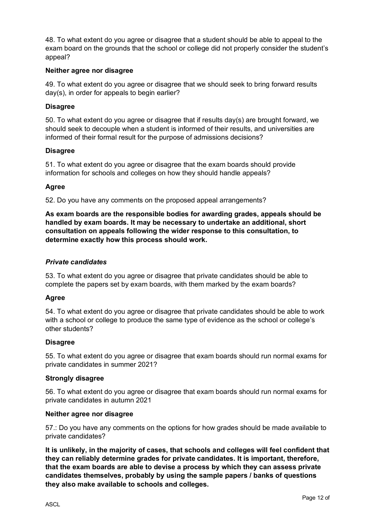48. To what extent do you agree or disagree that a student should be able to appeal to the exam board on the grounds that the school or college did not properly consider the student's appeal?

# **Neither agree nor disagree**

49. To what extent do you agree or disagree that we should seek to bring forward results day(s), in order for appeals to begin earlier?

## **Disagree**

50. To what extent do you agree or disagree that if results day(s) are brought forward, we should seek to decouple when a student is informed of their results, and universities are informed of their formal result for the purpose of admissions decisions?

## **Disagree**

51. To what extent do you agree or disagree that the exam boards should provide information for schools and colleges on how they should handle appeals?

## **Agree**

52. Do you have any comments on the proposed appeal arrangements?

**As exam boards are the responsible bodies for awarding grades, appeals should be handled by exam boards. It may be necessary to undertake an additional, short consultation on appeals following the wider response to this consultation, to determine exactly how this process should work.** 

## *Private candidates*

53. To what extent do you agree or disagree that private candidates should be able to complete the papers set by exam boards, with them marked by the exam boards?

#### **Agree**

54. To what extent do you agree or disagree that private candidates should be able to work with a school or college to produce the same type of evidence as the school or college's other students?

#### **Disagree**

55. To what extent do you agree or disagree that exam boards should run normal exams for private candidates in summer 2021?

#### **Strongly disagree**

56. To what extent do you agree or disagree that exam boards should run normal exams for private candidates in autumn 2021

#### **Neither agree nor disagree**

57.: Do you have any comments on the options for how grades should be made available to private candidates?

**It is unlikely, in the majority of cases, that schools and colleges will feel confident that they can reliably determine grades for private candidates. It is important, therefore, that the exam boards are able to devise a process by which they can assess private candidates themselves, probably by using the sample papers / banks of questions they also make available to schools and colleges.**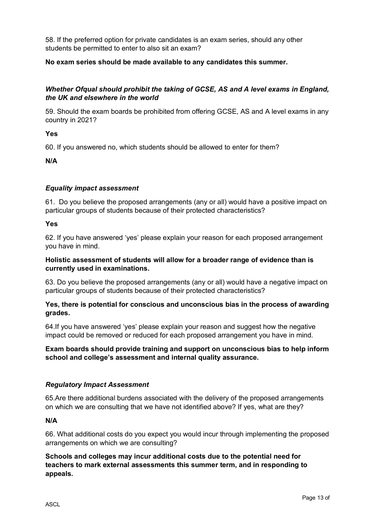58. If the preferred option for private candidates is an exam series, should any other students be permitted to enter to also sit an exam?

# **No exam series should be made available to any candidates this summer.**

# *Whether Ofqual should prohibit the taking of GCSE, AS and A level exams in England, the UK and elsewhere in the world*

59. Should the exam boards be prohibited from offering GCSE, AS and A level exams in any country in 2021?

**Yes**

60. If you answered no, which students should be allowed to enter for them?

**N/A**

# *Equality impact assessment*

61. Do you believe the proposed arrangements (any or all) would have a positive impact on particular groups of students because of their protected characteristics?

**Yes**

62. If you have answered 'yes' please explain your reason for each proposed arrangement you have in mind.

# **Holistic assessment of students will allow for a broader range of evidence than is currently used in examinations.**

63. Do you believe the proposed arrangements (any or all) would have a negative impact on particular groups of students because of their protected characteristics?

# **Yes, there is potential for conscious and unconscious bias in the process of awarding grades.**

64.If you have answered 'yes' please explain your reason and suggest how the negative impact could be removed or reduced for each proposed arrangement you have in mind.

# **Exam boards should provide training and support on unconscious bias to help inform school and college's assessment and internal quality assurance.**

# *Regulatory Impact Assessment*

65.Are there additional burdens associated with the delivery of the proposed arrangements on which we are consulting that we have not identified above? If yes, what are they?

**N/A**

66. What additional costs do you expect you would incur through implementing the proposed arrangements on which we are consulting?

**Schools and colleges may incur additional costs due to the potential need for teachers to mark external assessments this summer term, and in responding to appeals.**